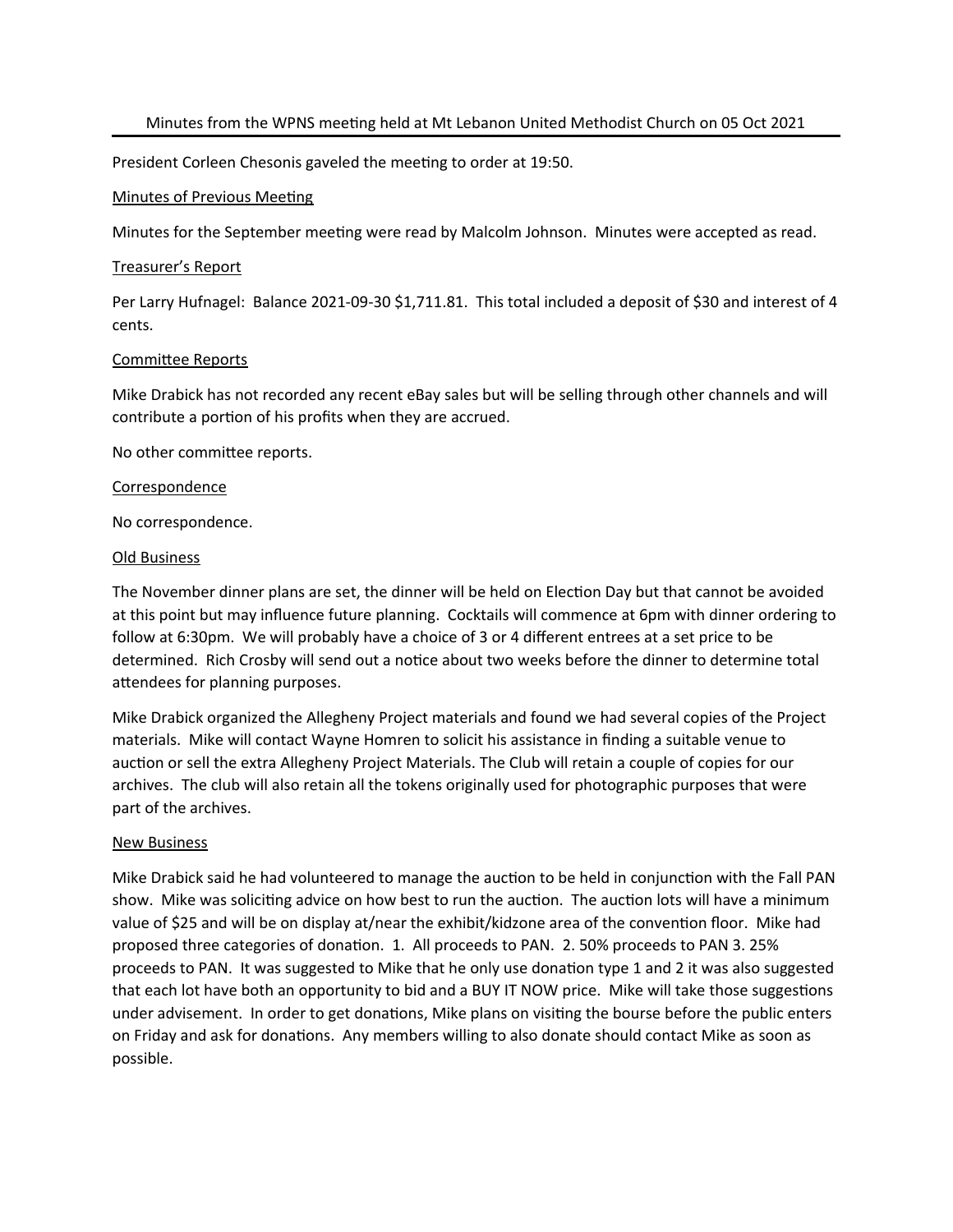President Corleen Chesonis gaveled the meeting to order at 19:50.

### Minutes of Previous Meeting

Minutes for the September meeting were read by Malcolm Johnson. Minutes were accepted as read.

#### Treasurer's Report

Per Larry Hufnagel: Balance 2021-09-30 \$1,711.81. This total included a deposit of \$30 and interest of 4 cents.

#### Committee Reports

Mike Drabick has not recorded any recent eBay sales but will be selling through other channels and will contribute a portion of his profits when they are accrued.

No other committee reports.

#### **Correspondence**

No correspondence.

#### Old Business

The November dinner plans are set, the dinner will be held on Election Day but that cannot be avoided at this point but may influence future planning. Cocktails will commence at 6pm with dinner ordering to follow at 6:30pm. We will probably have a choice of 3 or 4 different entrees at a set price to be determined. Rich Crosby will send out a notice about two weeks before the dinner to determine total attendees for planning purposes.

Mike Drabick organized the Allegheny Project materials and found we had several copies of the Project materials. Mike will contact Wayne Homren to solicit his assistance in finding a suitable venue to auction or sell the extra Allegheny Project Materials. The Club will retain a couple of copies for our archives. The club will also retain all the tokens originally used for photographic purposes that were part of the archives.

### **New Business**

Mike Drabick said he had volunteered to manage the auction to be held in conjunction with the Fall PAN show. Mike was soliciting advice on how best to run the auction. The auction lots will have a minimum value of \$25 and will be on display at/near the exhibit/kidzone area of the convention floor. Mike had proposed three categories of donation. 1. All proceeds to PAN. 2. 50% proceeds to PAN 3. 25% proceeds to PAN. It was suggested to Mike that he only use donation type 1 and 2 it was also suggested that each lot have both an opportunity to bid and a BUY IT NOW price. Mike will take those suggestions under advisement. In order to get donations, Mike plans on visiting the bourse before the public enters on Friday and ask for donations. Any members willing to also donate should contact Mike as soon as possible.